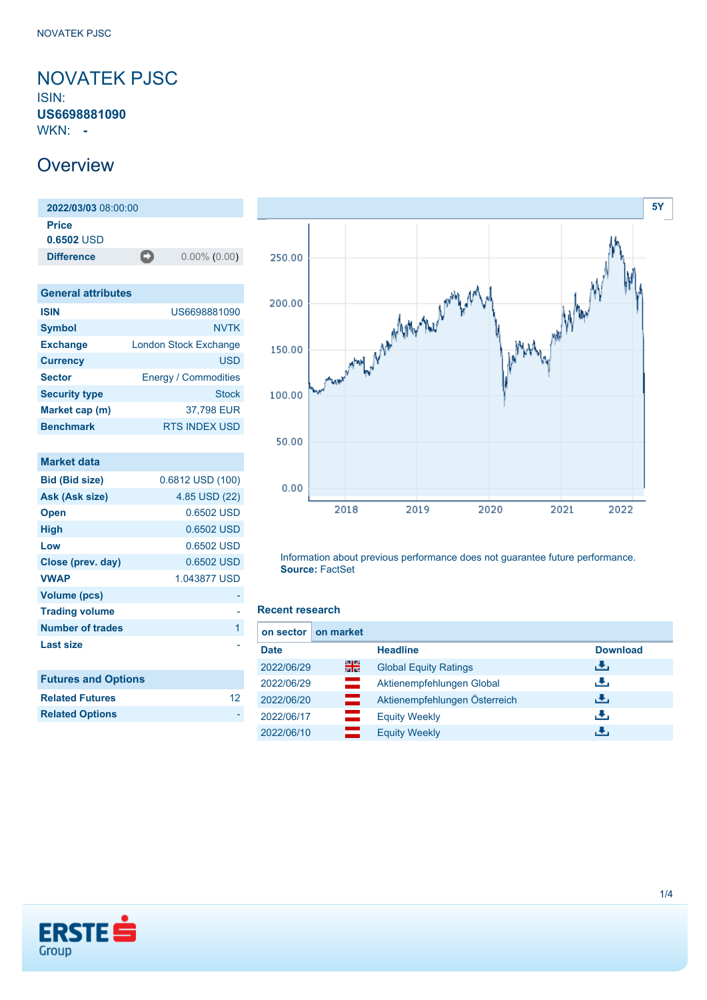### <span id="page-0-0"></span>NOVATEK PJSC ISIN: **US6698881090**

WKN: **-**

### **Overview**

| 2022/03/03 08:00:00          |   |                 |
|------------------------------|---|-----------------|
| <b>Price</b><br>$0.6502$ USD |   |                 |
| <b>Difference</b>            | o | $0.00\%$ (0.00) |

| <b>General attributes</b>    |  |  |  |  |
|------------------------------|--|--|--|--|
| US6698881090                 |  |  |  |  |
| <b>NVTK</b>                  |  |  |  |  |
| <b>London Stock Exchange</b> |  |  |  |  |
| USD                          |  |  |  |  |
| <b>Energy / Commodities</b>  |  |  |  |  |
| <b>Stock</b>                 |  |  |  |  |
| 37,798 EUR                   |  |  |  |  |
| <b>RTS INDEX USD</b>         |  |  |  |  |
|                              |  |  |  |  |

| <b>Market data</b>         |                  |
|----------------------------|------------------|
| <b>Bid (Bid size)</b>      | 0.6812 USD (100) |
| Ask (Ask size)             | 4.85 USD (22)    |
| <b>Open</b>                | 0.6502 USD       |
| High                       | 0.6502 USD       |
| Low                        | 0.6502 USD       |
| Close (prev. day)          | 0.6502 USD       |
| <b>VWAP</b>                | 1.043877 USD     |
| <b>Volume (pcs)</b>        |                  |
| <b>Trading volume</b>      |                  |
| <b>Number of trades</b>    | 1                |
| <b>Last size</b>           |                  |
|                            |                  |
| <b>Futures and Options</b> |                  |
| <b>Related Futures</b>     | 12               |
| <b>Related Options</b>     |                  |
|                            |                  |



Information about previous performance does not guarantee future performance. **Source:** FactSet

#### **Recent research**

| on market<br>on sector I |                               |                 |
|--------------------------|-------------------------------|-----------------|
| <b>Date</b>              | <b>Headline</b>               | <b>Download</b> |
| 을중<br>2022/06/29         | <b>Global Equity Ratings</b>  | رنان            |
| 2022/06/29<br>≕          | Aktienempfehlungen Global     | æ,              |
| 2022/06/20<br>═          | Aktienempfehlungen Österreich | J.              |
| 2022/06/17               | <b>Equity Weekly</b>          | J.              |
| 2022/06/10               | <b>Equity Weekly</b>          | æ,              |

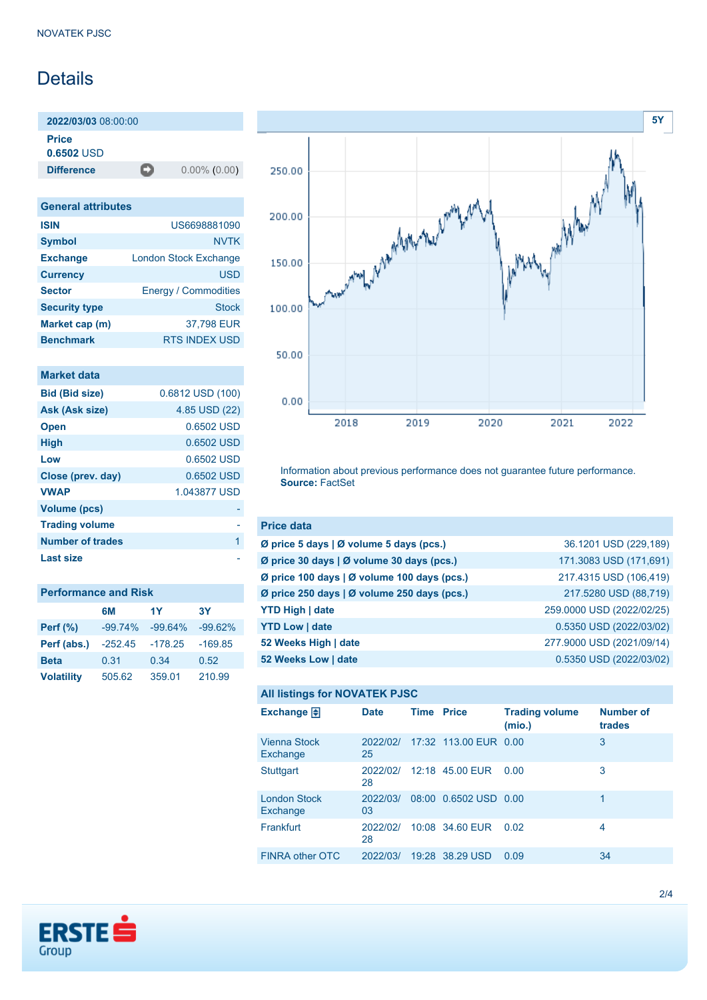# Details

**2022/03/03** 08:00:00

**Price**

**0.6502** USD

**Difference** 0.00% (0.00)

| <b>General attributes</b> |                              |  |  |  |
|---------------------------|------------------------------|--|--|--|
| <b>ISIN</b>               | US6698881090                 |  |  |  |
| <b>Symbol</b>             | <b>NVTK</b>                  |  |  |  |
| <b>Exchange</b>           | <b>London Stock Exchange</b> |  |  |  |
| <b>Currency</b>           | <b>USD</b>                   |  |  |  |
| <b>Sector</b>             | <b>Energy / Commodities</b>  |  |  |  |
| <b>Security type</b>      | <b>Stock</b>                 |  |  |  |
| Market cap (m)            | 37,798 EUR                   |  |  |  |
| <b>Benchmark</b>          | <b>RTS INDEX USD</b>         |  |  |  |

|  | <b>Market data</b> |  |
|--|--------------------|--|
|  |                    |  |

| <b>Bid (Bid size)</b> | 0.6812 USD (100) |
|-----------------------|------------------|
| Ask (Ask size)        | 4.85 USD (22)    |
| <b>Open</b>           | 0.6502 USD       |
| <b>High</b>           | 0.6502 USD       |
| Low                   | 0.6502 USD       |
| Close (prev. day)     | 0.6502 USD       |
| <b>VWAP</b>           | 1.043877 USD     |
| <b>Volume (pcs)</b>   |                  |
| <b>Trading volume</b> |                  |
| Number of trades      | 1                |
| Last size             |                  |

| <b>Performance and Risk</b> |           |           |           |  |  |
|-----------------------------|-----------|-----------|-----------|--|--|
|                             | 6M        | 1Y        | 3Υ        |  |  |
| <b>Perf</b> (%)             | $-99.74%$ | $-99.64%$ | $-99.62%$ |  |  |
| Perf (abs.)                 | $-252.45$ | $-178.25$ | $-169.85$ |  |  |
| <b>Beta</b>                 | 0.31      | 0.34      | 0.52      |  |  |
| <b>Volatility</b>           | 505.62    | 359.01    | 210.99    |  |  |



Information about previous performance does not guarantee future performance. **Source:** FactSet

| <b>Price data</b>                             |                           |
|-----------------------------------------------|---------------------------|
| Ø price 5 days $\vert$ Ø volume 5 days (pcs.) | 36.1201 USD (229,189)     |
| Ø price 30 days   Ø volume 30 days (pcs.)     | 171.3083 USD (171,691)    |
| Ø price 100 days   Ø volume 100 days (pcs.)   | 217.4315 USD (106,419)    |
| Ø price 250 days   Ø volume 250 days (pcs.)   | 217.5280 USD (88,719)     |
| <b>YTD High   date</b>                        | 259.0000 USD (2022/02/25) |
| <b>YTD Low   date</b>                         | 0.5350 USD (2022/03/02)   |
| 52 Weeks High   date                          | 277.9000 USD (2021/09/14) |
| 52 Weeks Low   date                           | 0.5350 USD (2022/03/02)   |

#### **All listings for NOVATEK PJSC**

| Exchange $\Box$                 | <b>Date</b>    | <b>Time Price</b> |                       | <b>Trading volume</b><br>(mio.) | <b>Number of</b><br>trades |
|---------------------------------|----------------|-------------------|-----------------------|---------------------------------|----------------------------|
| <b>Vienna Stock</b><br>Exchange | 2022/02/<br>25 |                   | 17:32 113.00 EUR 0.00 |                                 | 3                          |
| <b>Stuttgart</b>                | 2022/02/<br>28 |                   | 12:18 45.00 EUR       | 0.00                            | 3                          |
| <b>London Stock</b><br>Exchange | 2022/03/<br>03 |                   | 08:00 0.6502 USD 0.00 |                                 | 1                          |
| Frankfurt                       | 2022/02/<br>28 |                   | 10:08 34.60 EUR       | 0.02                            | 4                          |
| FINRA other OTC                 | 2022/03/       | 19:28             | 38.29 USD             | 0.09                            | 34                         |

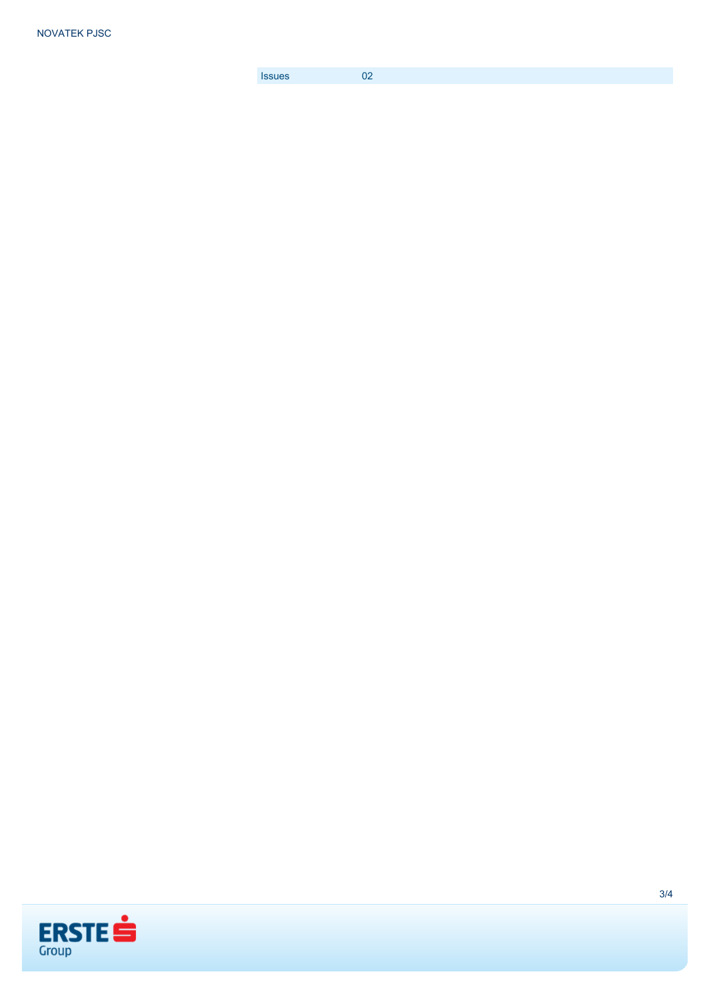[Issues](https://produkte.erstegroup.com/Retail/en/Dispatcher/FactsheetDispatcher/index.phtml?ID_NOTATION=73502602) 02